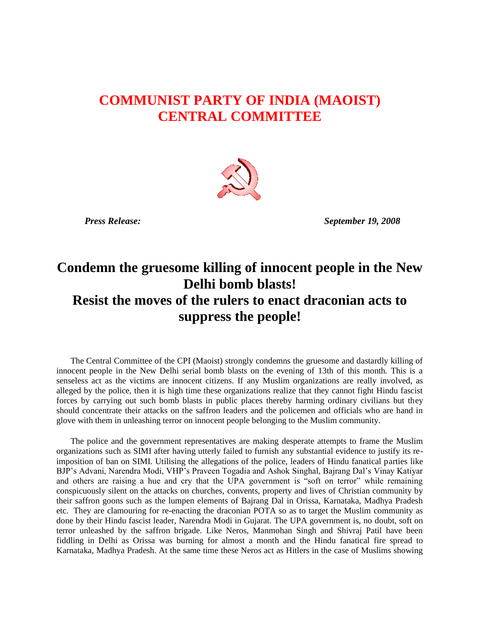## **COMMUNIST PARTY OF INDIA (MAOIST) CENTRAL COMMITTEE**



 *Press Release: September 19, 2008*

## **Condemn the gruesome killing of innocent people in the New Delhi bomb blasts! Resist the moves of the rulers to enact draconian acts to suppress the people!**

The Central Committee of the CPI (Maoist) strongly condemns the gruesome and dastardly killing of innocent people in the New Delhi serial bomb blasts on the evening of 13th of this month. This is a senseless act as the victims are innocent citizens. If any Muslim organizations are really involved, as alleged by the police, then it is high time these organizations realize that they cannot fight Hindu fascist forces by carrying out such bomb blasts in public places thereby harming ordinary civilians but they should concentrate their attacks on the saffron leaders and the policemen and officials who are hand in glove with them in unleashing terror on innocent people belonging to the Muslim community.

The police and the government representatives are making desperate attempts to frame the Muslim organizations such as SIMI after having utterly failed to furnish any substantial evidence to justify its reimposition of ban on SIMI. Utilising the allegations of the police, leaders of Hindu fanatical parties like BJP's Advani, Narendra Modi, VHP's Praveen Togadia and Ashok Singhal, Bajrang Dal's Vinay Katiyar and others are raising a hue and cry that the UPA government is "soft on terror" while remaining conspicuously silent on the attacks on churches, convents, property and lives of Christian community by their saffron goons such as the lumpen elements of Bajrang Dal in Orissa, Karnataka, Madhya Pradesh etc. They are clamouring for re-enacting the draconian POTA so as to target the Muslim community as done by their Hindu fascist leader, Narendra Modi in Gujarat. The UPA government is, no doubt, soft on terror unleashed by the saffron brigade. Like Neros, Manmohan Singh and Shivraj Patil have been fiddling in Delhi as Orissa was burning for almost a month and the Hindu fanatical fire spread to Karnataka, Madhya Pradesh. At the same time these Neros act as Hitlers in the case of Muslims showing